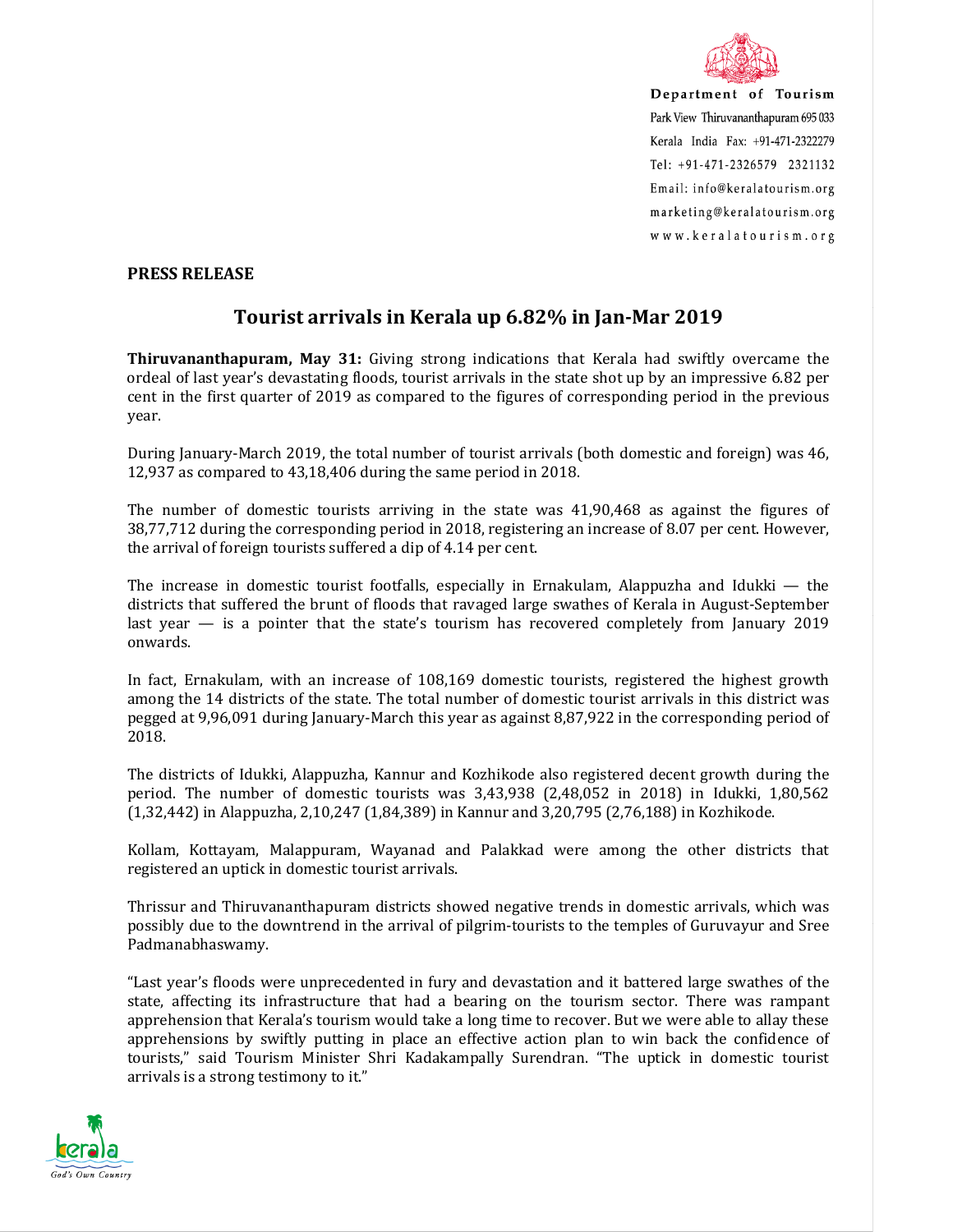

Department of Tourism Park View Thiruvananthapuram 695 033 Kerala India Fax: +91-471-2322279 Tel: +91-471-2326579 2321132 Email: info@keralatourism.org marketing@keralatourism.org www.keralatourism.org

## **PRESS RELEASE**

## **Tourist arrivals in Kerala up 6.82% in Jan-Mar 2019**

**Thiruvananthapuram, May 31:** Giving strong indications that Kerala had swiftly overcame the ordeal of last year's devastating floods, tourist arrivals in the state shot up by an impressive 6.82 per cent in the first quarter of 2019 as compared to the figures of corresponding period in the previous year.

During January-March 2019, the total number of tourist arrivals (both domestic and foreign) was 46, 12,937 as compared to 43,18,406 during the same period in 2018.

The number of domestic tourists arriving in the state was 41,90,468 as against the figures of 38,77,712 during the corresponding period in 2018, registering an increase of 8.07 per cent. However, the arrival of foreign tourists suffered a dip of 4.14 per cent.

The increase in domestic tourist footfalls, especially in Ernakulam, Alappuzha and Idukki — the districts that suffered the brunt of floods that ravaged large swathes of Kerala in August-September last year — is a pointer that the state's tourism has recovered completely from January 2019 onwards.

In fact, Ernakulam, with an increase of 108,169 domestic tourists, registered the highest growth among the 14 districts of the state. The total number of domestic tourist arrivals in this district was pegged at 9,96,091 during January-March this year as against 8,87,922 in the corresponding period of 2018.

The districts of Idukki, Alappuzha, Kannur and Kozhikode also registered decent growth during the period. The number of domestic tourists was 3,43,938 (2,48,052 in 2018) in Idukki, 1,80,562 (1,32,442) in Alappuzha, 2,10,247 (1,84,389) in Kannur and 3,20,795 (2,76,188) in Kozhikode.

Kollam, Kottayam, Malappuram, Wayanad and Palakkad were among the other districts that registered an uptick in domestic tourist arrivals.

Thrissur and Thiruvananthapuram districts showed negative trends in domestic arrivals, which was possibly due to the downtrend in the arrival of pilgrim-tourists to the temples of Guruvayur and Sree Padmanabhaswamy.

"Last year's floods were unprecedented in fury and devastation and it battered large swathes of the state, affecting its infrastructure that had a bearing on the tourism sector. There was rampant apprehension that Kerala's tourism would take a long time to recover. But we were able to allay these apprehensions by swiftly putting in place an effective action plan to win back the confidence of tourists," said Tourism Minister Shri Kadakampally Surendran. "The uptick in domestic tourist arrivals is a strong testimony to it."